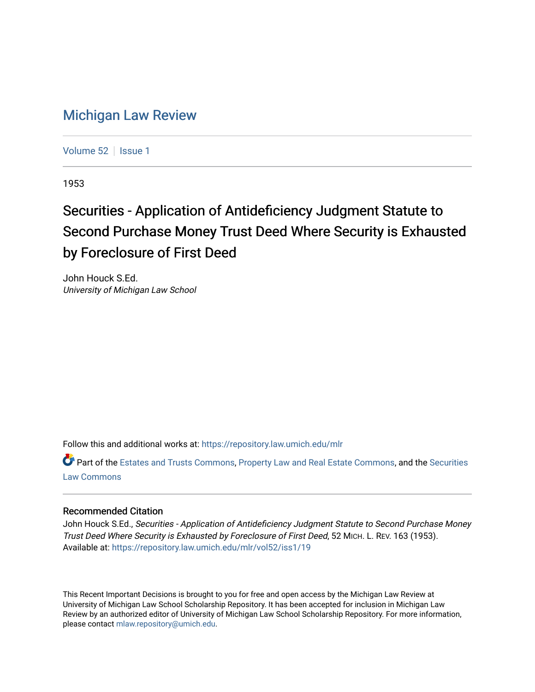## [Michigan Law Review](https://repository.law.umich.edu/mlr)

[Volume 52](https://repository.law.umich.edu/mlr/vol52) | [Issue 1](https://repository.law.umich.edu/mlr/vol52/iss1)

1953

## Securities - Application of Antideficiency Judgment Statute to Second Purchase Money Trust Deed Where Security is Exhausted by Foreclosure of First Deed

John Houck S.Ed. University of Michigan Law School

Follow this and additional works at: [https://repository.law.umich.edu/mlr](https://repository.law.umich.edu/mlr?utm_source=repository.law.umich.edu%2Fmlr%2Fvol52%2Fiss1%2F19&utm_medium=PDF&utm_campaign=PDFCoverPages) 

Part of the [Estates and Trusts Commons,](http://network.bepress.com/hgg/discipline/906?utm_source=repository.law.umich.edu%2Fmlr%2Fvol52%2Fiss1%2F19&utm_medium=PDF&utm_campaign=PDFCoverPages) [Property Law and Real Estate Commons,](http://network.bepress.com/hgg/discipline/897?utm_source=repository.law.umich.edu%2Fmlr%2Fvol52%2Fiss1%2F19&utm_medium=PDF&utm_campaign=PDFCoverPages) and the [Securities](http://network.bepress.com/hgg/discipline/619?utm_source=repository.law.umich.edu%2Fmlr%2Fvol52%2Fiss1%2F19&utm_medium=PDF&utm_campaign=PDFCoverPages)  [Law Commons](http://network.bepress.com/hgg/discipline/619?utm_source=repository.law.umich.edu%2Fmlr%2Fvol52%2Fiss1%2F19&utm_medium=PDF&utm_campaign=PDFCoverPages) 

## Recommended Citation

John Houck S.Ed., Securities - Application of Antideficiency Judgment Statute to Second Purchase Money Trust Deed Where Security is Exhausted by Foreclosure of First Deed, 52 MICH. L. REV. 163 (1953). Available at: [https://repository.law.umich.edu/mlr/vol52/iss1/19](https://repository.law.umich.edu/mlr/vol52/iss1/19?utm_source=repository.law.umich.edu%2Fmlr%2Fvol52%2Fiss1%2F19&utm_medium=PDF&utm_campaign=PDFCoverPages) 

This Recent Important Decisions is brought to you for free and open access by the Michigan Law Review at University of Michigan Law School Scholarship Repository. It has been accepted for inclusion in Michigan Law Review by an authorized editor of University of Michigan Law School Scholarship Repository. For more information, please contact [mlaw.repository@umich.edu.](mailto:mlaw.repository@umich.edu)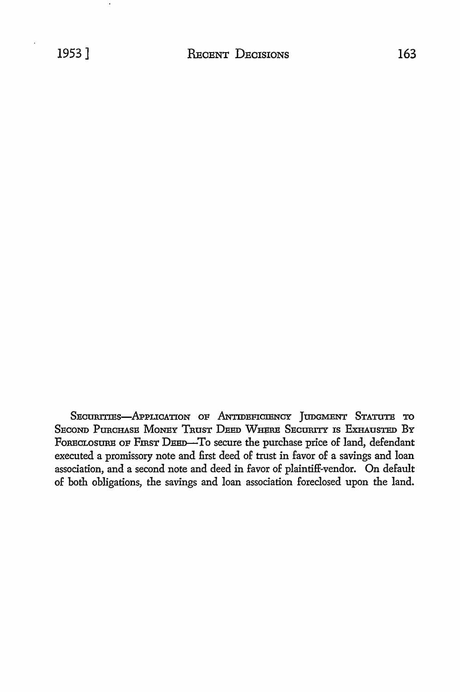SECURITIES-APPLICATION OF ANTIDEFICIENCY JUDGMENT STATUTE TO SECOND PURCHASE MONEY TRUST DEED WHERE SECURITY IS EXHAUSTED BY FORECLOSURE OF FIRST DEED-To secure the purchase price of land, defendant executed a promissory note and first deed of trust in favor of a savings and loan association, and a second note and deed in favor of plaintiff-vendor. On default of both obligations, the savings and loan association foreclosed upon the land.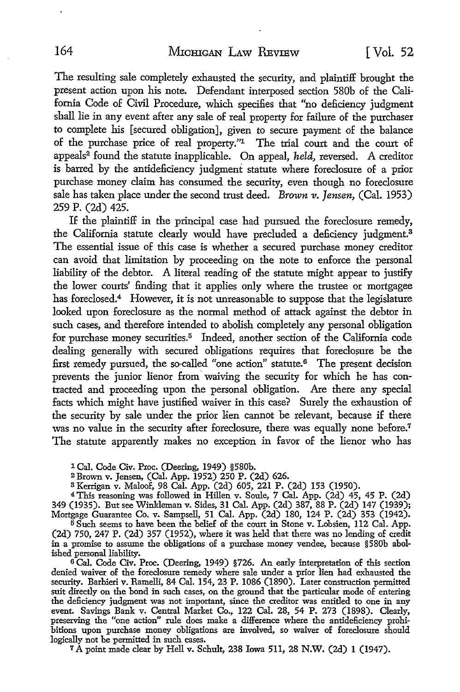The resulting sale completely exhausted the security, and plaintiff brought the present action upon his note. Defendant interposed section 580b of the California Code of Civil Procedure, which specifies that "no deficiency judgment shall lie in any event after any sale of real property for failure of the purchaser to complete his [secured obligation], given to secure payment of the balance of the purchase price of real property.''1 The trial court and the court of appeals2 found the statute inapplicable. On appeal, *held,* reversed. A creditor is barred by the antideficiency judgment statute where foreclosure of a prior purchase money claim has consumed the security, even though no foreclosure sale has taken place under the second trust deed. *Brown v. Jensen,* (Cal. 1953) 259 P. (2d) 425.

If the plaintiff in the principal case had pursued the foreclosure remedy, the California statute clearly would have precluded a deficiency judgment.<sup>3</sup> The essential issue of this case is whether a secured purchase money creditor can avoid that limitation by proceeding on the note to enforce the personal liability of the debtor. A literal reading of the statute might appear to justify the lower courts' finding that it applies only where the trustee or mortgagee has foreclosed.<sup>4</sup> However, it is not unreasonable to suppose that the legislature looked upon foreclosure as the normal method of attack against the debtor in such cases, and therefore intended to abolish completely any personal obligation for purchase money securities.<sup>5</sup> Indeed, another section of the California code dealing generally with secured obligations requires that foreclosure be the first remedy pursued, the so-called "one action" statute.6 The present decision prevents the junior lienor from waiving the security for which he has contracted and proceeding upon the personal obligation. Are there any special facts which might have justified waiver in this case? Surely the exhaustion of the security by sale under the prior lien cannot be relevant, because if there was no value in the security after foreclosure, there was equally none before.<sup>7</sup> The statute apparently makes no exception in favor of the lienor who has

1 Cal. Code Civ. Proc. (Deering, 1949) §580b.

- <sup>2</sup>Brown v. Jensen, (Cal. App. 1952) 250 P. (2d) 626.
- s Kerrigan v. Maloof, 98 Cal. App. (2d) 605, 221 P. (2d) 153 (1950).

4 This reasoning was followed in Hillen v. Soule, 7 Cal. App. (2d) 45, 45 P. (2d) 349 (1935). But see Winkleman v. Sides, 31 Cal. App. (2d) 387, 88 P. (2d) 147 (1939); Mortgage Guarantee Co. v. Sampsell, 51 Cal. App. (2d) 180, 124 P. (2d) 353 (1942).

 $5$  Such seems to have been the belief of the court in Stone v. Lobsien, 112 Cal. App. (2d) 750, 247 P. (2d) 357 (1952), where it was held that there was no lending of credit in a promise to assume the obligations of a purchase money vendee, because §580b abolished personal liability.

6 Cal. Code Civ. Proc. (Deering, 1949) §726. An early interpretation of this section denied waiver of the foreclosure remedy where sale under a prior lien had exhausted the security. Barbieri v. Ramelli, 84 Cal. 154, 23 P. 1086 (1890). Later construction permitted suit directly on the bond in such cases, on the ground that the particular mode of entering the deficiency judgment was not important, since the creditor was entitled to one in any event. Savings Bank v. Central Market Co., 122 Cal. 28, 54 P. 273 (1898). Clearly, preserving the "one action" rule does make a difference where the antideficiency prohibitions upon purchase money obligations are involved, so waiver of foreclosure should logically not be permitted in such cases.

7 A point made clear by Hell v. Schult, 238 Iowa 511, 28 N.W. (2d) 1 (1947).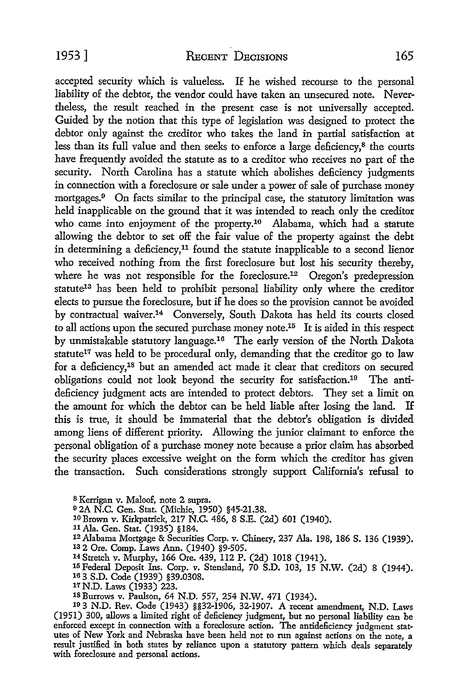accepted security which is valueless. If he wished recourse to the personal liability of the debtor, the vendor could have taken an unsecured note. Nevertheless, the result reached in the present case is not universally accepted. Guided by the notion that this type of legislation was designed to protect the debtor only against the creditor who takes the land in partial satisfaction at less than its full value and then seeks to enforce a large deficiency,8 the courts have frequently avoided the statute as to a creditor who receives no part of the security. North Carolina has a statute which abolishes deficiency judgments in connection with a foreclosure or sale under a power of sale of purchase money mortgages.<sup>9</sup> On facts similar to the principal case, the statutory limitation was held inapplicable on the ground that it was intended to reach only the creditor who came into enjoyment of the property.<sup>10</sup> Alabama, which had a statute allowing the debtor to set off the fair value of the property against the debt in determining a deficiency,<sup>11</sup> found the statute inapplicable to a second lienor who received nothing from the first foreclosure but lost his security thereby, where he was not responsible for the foreclosure.<sup>12</sup> Oregon's predepression statute<sup>13</sup> has been held to prohibit personal liability only where the creditor elects to pursue the foreclosure, but if he does so the provision cannot be avoided by contractual waiver.<sup>14</sup> Conversely, South Dakota has held its courts closed to all actions upon the secured purchase money note.15 It is aided in this respect by unmistakable statutory language.16 The early version of the North Dakota statute<sup>17</sup> was held to be procedural only, demanding that the creditor go to law for a deficiency,18 but an amended act made it clear that creditors on secured obligations could not look beyond the security for satisfaction.19 The antideficiency judgment acts are intended to protect debtors. They set a limit on the amount for which the debtor can be held liable after losing the land. If this is true, it should be immaterial that the debtor's obligation is divided among liens of different priority. Allowing the junior claimant to enforce the personal obligation of a purchase money note because a prior claim has absorbed the security places excessive weight on the form which the creditor has given the transaction. Such considerations strongly support California's refusal to

8 Kerrigan v. Maloof, note 2 supra.

o 2A N.C. Gen. Stat. (Michie, 1950) §45-21.38.

10 Brown v. Kirkpatrick, 217 N.C. 486, 8 S.E. (2d) 601 (1940).

llAJa. Gen. Stat. (1935) §184.

12 Alabama Mortgage & Securities Corp. v. Chinery, 237 Ala. 198, 186 S. 136 (1939). 13 2 Ore. Comp. Laws Ann. (1940) §9-505.

14 Stretch v. Murphy, 166 Ore. 439, 112 P. (2d) 1018 (1941).

15 Federal Deposit Ins. Corp. v. Stensland, 70 S.D. 103, 15 N.W. (2d) 8 (1944).

1s 3 S.D. Code (1939) §39.0308.

17 N.D. Laws (1933) 223.

18 Burrows v. Paulson, 64 N.D. 557, 254 N.W. 471 (1934).

<sup>10</sup>3 N.D. Rev. Code (1943) §§32-1906, 32-1907. A recent amendment, N.D. Laws (1951) 300, allows a limited right of deficiency judgment, but no personal liability can be enforced except in connection with a foreclosure action. The antideliciency judgment statutes of New York and Nebraska have been held not to run against actions on the note, a result justified in both states by reliance upon a statutory pattern which deals separately with foreclosure and personal actions.